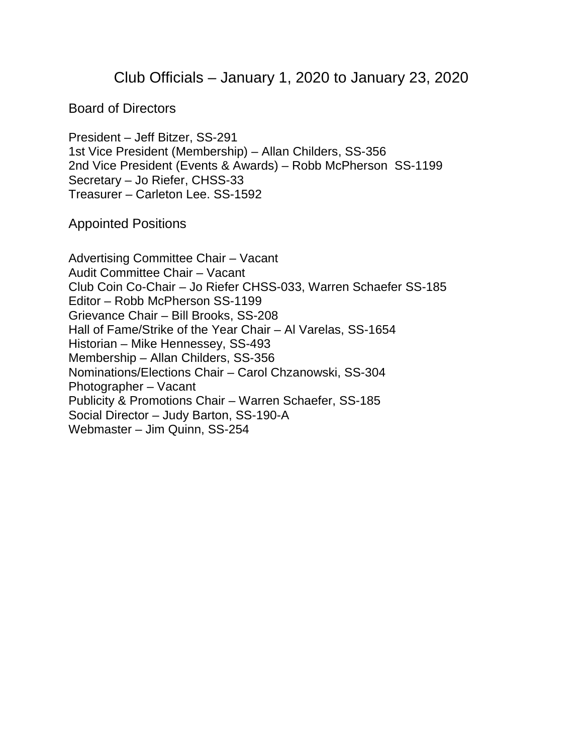## Club Officials – January 1, 2020 to January 23, 2020

Board of Directors

President – Jeff Bitzer, SS-291 1st Vice President (Membership) – Allan Childers, SS-356 2nd Vice President (Events & Awards) – Robb McPherson SS-1199 Secretary – Jo Riefer, CHSS-33 Treasurer – Carleton Lee. SS-1592

Appointed Positions

Advertising Committee Chair – Vacant Audit Committee Chair – Vacant Club Coin Co-Chair – Jo Riefer CHSS-033, Warren Schaefer SS-185 Editor – Robb McPherson SS-1199 Grievance Chair – Bill Brooks, SS-208 Hall of Fame/Strike of the Year Chair – Al Varelas, SS-1654 Historian – Mike Hennessey, SS-493 Membership – Allan Childers, SS-356 Nominations/Elections Chair – Carol Chzanowski, SS-304 Photographer – Vacant Publicity & Promotions Chair – Warren Schaefer, SS-185 Social Director – Judy Barton, SS-190-A Webmaster – Jim Quinn, SS-254